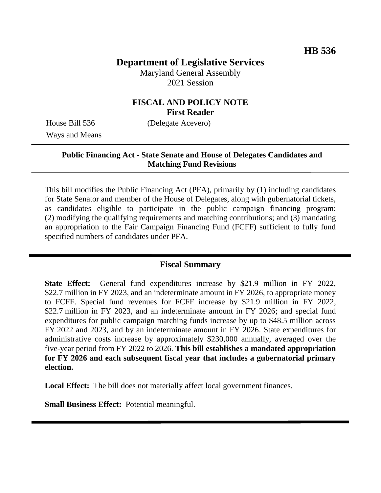# **Department of Legislative Services**

Maryland General Assembly 2021 Session

## **FISCAL AND POLICY NOTE First Reader**

Ways and Means

House Bill 536 (Delegate Acevero)

## **Public Financing Act - State Senate and House of Delegates Candidates and Matching Fund Revisions**

This bill modifies the Public Financing Act (PFA), primarily by (1) including candidates for State Senator and member of the House of Delegates, along with gubernatorial tickets, as candidates eligible to participate in the public campaign financing program; (2) modifying the qualifying requirements and matching contributions; and (3) mandating an appropriation to the Fair Campaign Financing Fund (FCFF) sufficient to fully fund specified numbers of candidates under PFA.

## **Fiscal Summary**

**State Effect:** General fund expenditures increase by \$21.9 million in FY 2022, \$22.7 million in FY 2023, and an indeterminate amount in FY 2026, to appropriate money to FCFF. Special fund revenues for FCFF increase by \$21.9 million in FY 2022, \$22.7 million in FY 2023, and an indeterminate amount in FY 2026; and special fund expenditures for public campaign matching funds increase by up to \$48.5 million across FY 2022 and 2023, and by an indeterminate amount in FY 2026. State expenditures for administrative costs increase by approximately \$230,000 annually, averaged over the five-year period from FY 2022 to 2026. **This bill establishes a mandated appropriation for FY 2026 and each subsequent fiscal year that includes a gubernatorial primary election.**

**Local Effect:** The bill does not materially affect local government finances.

**Small Business Effect:** Potential meaningful.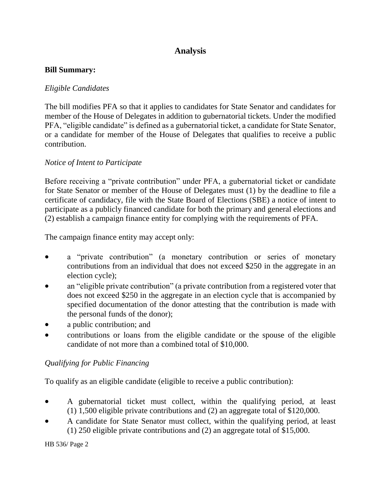# **Analysis**

#### **Bill Summary:**

### *Eligible Candidates*

The bill modifies PFA so that it applies to candidates for State Senator and candidates for member of the House of Delegates in addition to gubernatorial tickets. Under the modified PFA, "eligible candidate" is defined as a gubernatorial ticket, a candidate for State Senator, or a candidate for member of the House of Delegates that qualifies to receive a public contribution.

### *Notice of Intent to Participate*

Before receiving a "private contribution" under PFA, a gubernatorial ticket or candidate for State Senator or member of the House of Delegates must (1) by the deadline to file a certificate of candidacy, file with the State Board of Elections (SBE) a notice of intent to participate as a publicly financed candidate for both the primary and general elections and (2) establish a campaign finance entity for complying with the requirements of PFA.

The campaign finance entity may accept only:

- a "private contribution" (a monetary contribution or series of monetary contributions from an individual that does not exceed \$250 in the aggregate in an election cycle);
- an "eligible private contribution" (a private contribution from a registered voter that does not exceed \$250 in the aggregate in an election cycle that is accompanied by specified documentation of the donor attesting that the contribution is made with the personal funds of the donor);
- a public contribution; and
- contributions or loans from the eligible candidate or the spouse of the eligible candidate of not more than a combined total of \$10,000.

# *Qualifying for Public Financing*

To qualify as an eligible candidate (eligible to receive a public contribution):

- A gubernatorial ticket must collect, within the qualifying period, at least (1) 1,500 eligible private contributions and (2) an aggregate total of \$120,000.
- A candidate for State Senator must collect, within the qualifying period, at least (1) 250 eligible private contributions and (2) an aggregate total of \$15,000.

HB 536/ Page 2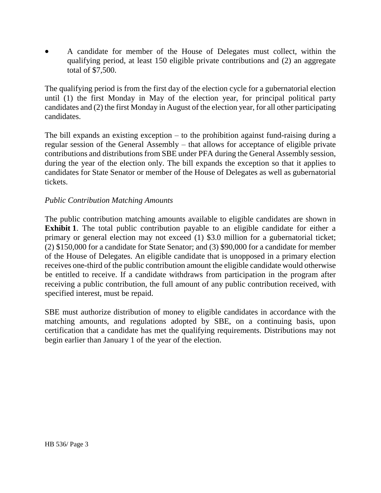A candidate for member of the House of Delegates must collect, within the qualifying period, at least 150 eligible private contributions and (2) an aggregate total of \$7,500.

The qualifying period is from the first day of the election cycle for a gubernatorial election until (1) the first Monday in May of the election year, for principal political party candidates and (2) the first Monday in August of the election year, for all other participating candidates.

The bill expands an existing exception – to the prohibition against fund-raising during a regular session of the General Assembly – that allows for acceptance of eligible private contributions and distributions from SBE under PFA during the General Assembly session, during the year of the election only. The bill expands the exception so that it applies to candidates for State Senator or member of the House of Delegates as well as gubernatorial tickets.

#### *Public Contribution Matching Amounts*

The public contribution matching amounts available to eligible candidates are shown in **Exhibit 1**. The total public contribution payable to an eligible candidate for either a primary or general election may not exceed (1) \$3.0 million for a gubernatorial ticket; (2) \$150,000 for a candidate for State Senator; and (3) \$90,000 for a candidate for member of the House of Delegates. An eligible candidate that is unopposed in a primary election receives one-third of the public contribution amount the eligible candidate would otherwise be entitled to receive. If a candidate withdraws from participation in the program after receiving a public contribution, the full amount of any public contribution received, with specified interest, must be repaid.

SBE must authorize distribution of money to eligible candidates in accordance with the matching amounts, and regulations adopted by SBE, on a continuing basis, upon certification that a candidate has met the qualifying requirements. Distributions may not begin earlier than January 1 of the year of the election.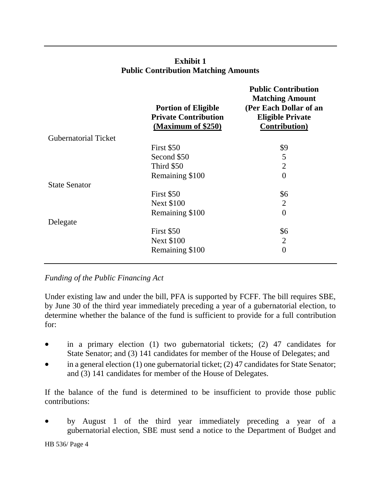|                             | <b>Portion of Eligible</b><br><b>Private Contribution</b><br>(Maximum of \$250) | <b>Public Contribution</b><br><b>Matching Amount</b><br>(Per Each Dollar of an<br><b>Eligible Private</b><br><b>Contribution</b> ) |
|-----------------------------|---------------------------------------------------------------------------------|------------------------------------------------------------------------------------------------------------------------------------|
| <b>Gubernatorial Ticket</b> |                                                                                 |                                                                                                                                    |
|                             | First \$50                                                                      | \$9                                                                                                                                |
|                             | Second \$50                                                                     | 5                                                                                                                                  |
|                             | Third \$50                                                                      | $\overline{2}$                                                                                                                     |
|                             | Remaining \$100                                                                 | $\overline{0}$                                                                                                                     |
| <b>State Senator</b>        |                                                                                 |                                                                                                                                    |
|                             | First \$50                                                                      | \$6                                                                                                                                |
|                             | <b>Next \$100</b>                                                               | $\overline{2}$                                                                                                                     |
|                             | Remaining \$100                                                                 | $\overline{0}$                                                                                                                     |
| Delegate                    |                                                                                 |                                                                                                                                    |
|                             | First \$50                                                                      | \$6                                                                                                                                |
|                             | <b>Next \$100</b>                                                               | $\overline{2}$                                                                                                                     |
|                             | Remaining \$100                                                                 | $\overline{0}$                                                                                                                     |
|                             |                                                                                 |                                                                                                                                    |

# **Exhibit 1 Public Contribution Matching Amounts**

*Funding of the Public Financing Act* 

Under existing law and under the bill, PFA is supported by FCFF. The bill requires SBE, by June 30 of the third year immediately preceding a year of a gubernatorial election, to determine whether the balance of the fund is sufficient to provide for a full contribution for:

- in a primary election (1) two gubernatorial tickets; (2) 47 candidates for State Senator; and (3) 141 candidates for member of the House of Delegates; and
- in a general election (1) one gubernatorial ticket; (2) 47 candidates for State Senator; and (3) 141 candidates for member of the House of Delegates.

If the balance of the fund is determined to be insufficient to provide those public contributions:

 by August 1 of the third year immediately preceding a year of a gubernatorial election, SBE must send a notice to the Department of Budget and

HB 536/ Page 4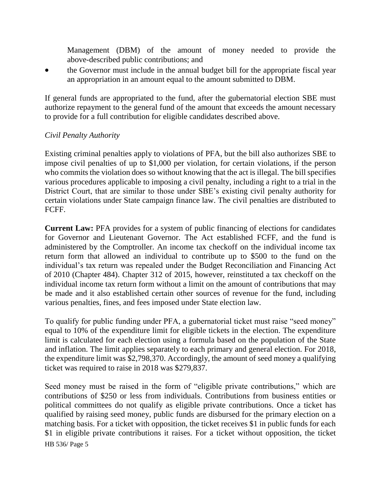Management (DBM) of the amount of money needed to provide the above-described public contributions; and

 the Governor must include in the annual budget bill for the appropriate fiscal year an appropriation in an amount equal to the amount submitted to DBM.

If general funds are appropriated to the fund, after the gubernatorial election SBE must authorize repayment to the general fund of the amount that exceeds the amount necessary to provide for a full contribution for eligible candidates described above.

### *Civil Penalty Authority*

Existing criminal penalties apply to violations of PFA, but the bill also authorizes SBE to impose civil penalties of up to \$1,000 per violation, for certain violations, if the person who commits the violation does so without knowing that the act is illegal. The bill specifies various procedures applicable to imposing a civil penalty, including a right to a trial in the District Court, that are similar to those under SBE's existing civil penalty authority for certain violations under State campaign finance law. The civil penalties are distributed to FCFF.

**Current Law:** PFA provides for a system of public financing of elections for candidates for Governor and Lieutenant Governor. The Act established FCFF, and the fund is administered by the Comptroller. An income tax checkoff on the individual income tax return form that allowed an individual to contribute up to \$500 to the fund on the individual's tax return was repealed under the Budget Reconciliation and Financing Act of 2010 (Chapter 484). Chapter 312 of 2015, however, reinstituted a tax checkoff on the individual income tax return form without a limit on the amount of contributions that may be made and it also established certain other sources of revenue for the fund, including various penalties, fines, and fees imposed under State election law.

To qualify for public funding under PFA, a gubernatorial ticket must raise "seed money" equal to 10% of the expenditure limit for eligible tickets in the election. The expenditure limit is calculated for each election using a formula based on the population of the State and inflation. The limit applies separately to each primary and general election. For 2018, the expenditure limit was \$2,798,370. Accordingly, the amount of seed money a qualifying ticket was required to raise in 2018 was \$279,837.

HB 536/ Page 5 Seed money must be raised in the form of "eligible private contributions," which are contributions of \$250 or less from individuals. Contributions from business entities or political committees do not qualify as eligible private contributions. Once a ticket has qualified by raising seed money, public funds are disbursed for the primary election on a matching basis. For a ticket with opposition, the ticket receives \$1 in public funds for each \$1 in eligible private contributions it raises. For a ticket without opposition, the ticket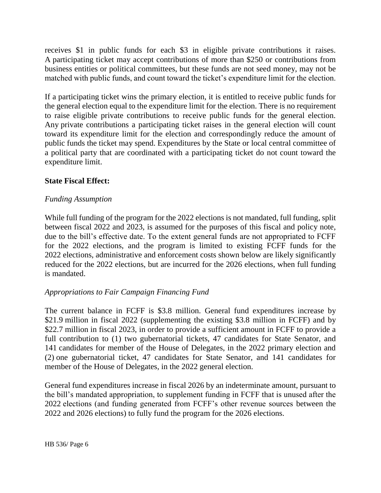receives \$1 in public funds for each \$3 in eligible private contributions it raises. A participating ticket may accept contributions of more than \$250 or contributions from business entities or political committees, but these funds are not seed money, may not be matched with public funds, and count toward the ticket's expenditure limit for the election.

If a participating ticket wins the primary election, it is entitled to receive public funds for the general election equal to the expenditure limit for the election. There is no requirement to raise eligible private contributions to receive public funds for the general election. Any private contributions a participating ticket raises in the general election will count toward its expenditure limit for the election and correspondingly reduce the amount of public funds the ticket may spend. Expenditures by the State or local central committee of a political party that are coordinated with a participating ticket do not count toward the expenditure limit.

### **State Fiscal Effect:**

#### *Funding Assumption*

While full funding of the program for the 2022 elections is not mandated, full funding, split between fiscal 2022 and 2023, is assumed for the purposes of this fiscal and policy note, due to the bill's effective date. To the extent general funds are not appropriated to FCFF for the 2022 elections, and the program is limited to existing FCFF funds for the 2022 elections, administrative and enforcement costs shown below are likely significantly reduced for the 2022 elections, but are incurred for the 2026 elections, when full funding is mandated.

### *Appropriations to Fair Campaign Financing Fund*

The current balance in FCFF is \$3.8 million. General fund expenditures increase by \$21.9 million in fiscal 2022 (supplementing the existing \$3.8 million in FCFF) and by \$22.7 million in fiscal 2023, in order to provide a sufficient amount in FCFF to provide a full contribution to (1) two gubernatorial tickets, 47 candidates for State Senator, and 141 candidates for member of the House of Delegates, in the 2022 primary election and (2) one gubernatorial ticket, 47 candidates for State Senator, and 141 candidates for member of the House of Delegates, in the 2022 general election.

General fund expenditures increase in fiscal 2026 by an indeterminate amount, pursuant to the bill's mandated appropriation, to supplement funding in FCFF that is unused after the 2022 elections (and funding generated from FCFF's other revenue sources between the 2022 and 2026 elections) to fully fund the program for the 2026 elections.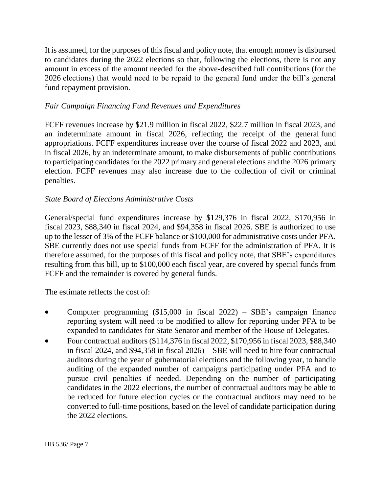It is assumed, for the purposes of this fiscal and policy note, that enough money is disbursed to candidates during the 2022 elections so that, following the elections, there is not any amount in excess of the amount needed for the above-described full contributions (for the 2026 elections) that would need to be repaid to the general fund under the bill's general fund repayment provision.

## *Fair Campaign Financing Fund Revenues and Expenditures*

FCFF revenues increase by \$21.9 million in fiscal 2022, \$22.7 million in fiscal 2023, and an indeterminate amount in fiscal 2026, reflecting the receipt of the general fund appropriations. FCFF expenditures increase over the course of fiscal 2022 and 2023, and in fiscal 2026, by an indeterminate amount, to make disbursements of public contributions to participating candidates for the 2022 primary and general elections and the 2026 primary election. FCFF revenues may also increase due to the collection of civil or criminal penalties.

## *State Board of Elections Administrative Costs*

General/special fund expenditures increase by \$129,376 in fiscal 2022, \$170,956 in fiscal 2023, \$88,340 in fiscal 2024, and \$94,358 in fiscal 2026. SBE is authorized to use up to the lesser of 3% of the FCFF balance or \$100,000 for administrative costs under PFA. SBE currently does not use special funds from FCFF for the administration of PFA. It is therefore assumed, for the purposes of this fiscal and policy note, that SBE's expenditures resulting from this bill, up to \$100,000 each fiscal year, are covered by special funds from FCFF and the remainder is covered by general funds.

The estimate reflects the cost of:

- Computer programming (\$15,000 in fiscal 2022) SBE's campaign finance reporting system will need to be modified to allow for reporting under PFA to be expanded to candidates for State Senator and member of the House of Delegates.
- Four contractual auditors (\$114,376 in fiscal 2022, \$170,956 in fiscal 2023, \$88,340 in fiscal 2024, and \$94,358 in fiscal 2026) – SBE will need to hire four contractual auditors during the year of gubernatorial elections and the following year, to handle auditing of the expanded number of campaigns participating under PFA and to pursue civil penalties if needed. Depending on the number of participating candidates in the 2022 elections, the number of contractual auditors may be able to be reduced for future election cycles or the contractual auditors may need to be converted to full-time positions, based on the level of candidate participation during the 2022 elections.